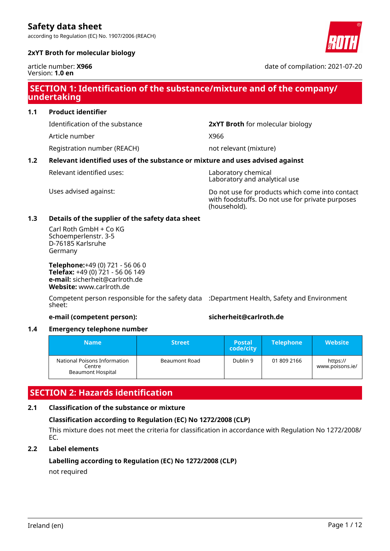according to Regulation (EC) No. 1907/2006 (REACH)



### **2xYT Broth for molecular biology**

article number: **X966** Version: **1.0 en**

date of compilation: 2021-07-20

# **SECTION 1: Identification of the substance/mixture and of the company/ undertaking**

### **1.1 Product identifier**

Article number X966

Registration number (REACH) not relevant (mixture)

Identification of the substance **2xYT Broth** for molecular biology

### **1.2 Relevant identified uses of the substance or mixture and uses advised against**

Relevant identified uses: Naboratory chemical

Laboratory and analytical use

Uses advised against: Do not use for products which come into contact with foodstuffs. Do not use for private purposes (household).

### **1.3 Details of the supplier of the safety data sheet**

Carl Roth GmbH + Co KG Schoemperlenstr. 3-5 D-76185 Karlsruhe Germany

**Telephone:**+49 (0) 721 - 56 06 0 **Telefax:** +49 (0) 721 - 56 06 149 **e-mail:** sicherheit@carlroth.de **Website:** www.carlroth.de

Competent person responsible for the safety data :Department Health, Safety and Environment sheet:

### **e-mail (competent person): sicherheit@carlroth.de**

### **1.4 Emergency telephone number**

| Name                                                               | <b>Street</b> | <b>Postal</b><br>code/city | <b>Telephone</b> | <b>Website</b>              |
|--------------------------------------------------------------------|---------------|----------------------------|------------------|-----------------------------|
| National Poisons Information<br>Centre<br><b>Beaumont Hospital</b> | Beaumont Road | Dublin 9                   | 01 809 2166      | https://<br>www.poisons.ie/ |

# **SECTION 2: Hazards identification**

# **2.1 Classification of the substance or mixture**

### **Classification according to Regulation (EC) No 1272/2008 (CLP)**

This mixture does not meet the criteria for classification in accordance with Regulation No 1272/2008/ EC.

### **2.2 Label elements**

## **Labelling according to Regulation (EC) No 1272/2008 (CLP)** not required

Ireland (en) Page 1 / 12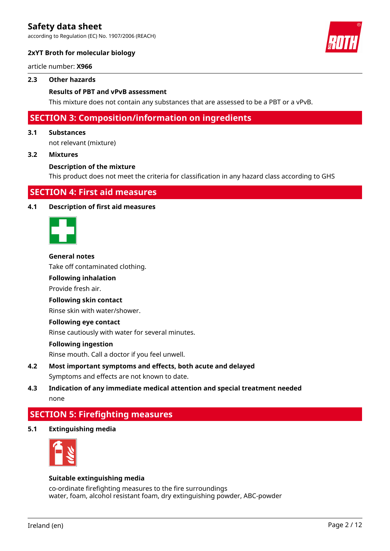according to Regulation (EC) No. 1907/2006 (REACH)



### **2xYT Broth for molecular biology**

article number: **X966**

### **2.3 Other hazards**

### **Results of PBT and vPvB assessment**

This mixture does not contain any substances that are assessed to be a PBT or a vPvB.

# **SECTION 3: Composition/information on ingredients**

#### **3.1 Substances**

not relevant (mixture)

#### **3.2 Mixtures**

#### **Description of the mixture**

This product does not meet the criteria for classification in any hazard class according to GHS

# **SECTION 4: First aid measures**

#### **4.1 Description of first aid measures**



### **General notes**

Take off contaminated clothing.

### **Following inhalation**

Provide fresh air.

#### **Following skin contact**

Rinse skin with water/shower.

#### **Following eye contact**

Rinse cautiously with water for several minutes.

#### **Following ingestion**

Rinse mouth. Call a doctor if you feel unwell.

- **4.2 Most important symptoms and effects, both acute and delayed** Symptoms and effects are not known to date.
- **4.3 Indication of any immediate medical attention and special treatment needed** none

# **SECTION 5: Firefighting measures**

**5.1 Extinguishing media**



### **Suitable extinguishing media**

co-ordinate firefighting measures to the fire surroundings water, foam, alcohol resistant foam, dry extinguishing powder, ABC-powder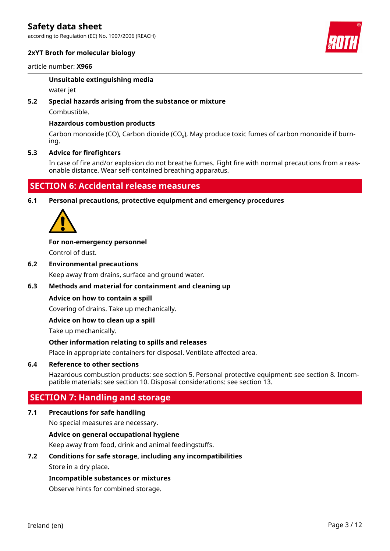according to Regulation (EC) No. 1907/2006 (REACH)



### **2xYT Broth for molecular biology**

### article number: **X966**

### **Unsuitable extinguishing media**

water jet

### **5.2 Special hazards arising from the substance or mixture**

Combustible.

### **Hazardous combustion products**

Carbon monoxide (CO), Carbon dioxide (CO₂), May produce toxic fumes of carbon monoxide if burning.

### **5.3 Advice for firefighters**

In case of fire and/or explosion do not breathe fumes. Fight fire with normal precautions from a reasonable distance. Wear self-contained breathing apparatus.

# **SECTION 6: Accidental release measures**

**6.1 Personal precautions, protective equipment and emergency procedures**



### **For non-emergency personnel**

Control of dust.

**6.2 Environmental precautions**

Keep away from drains, surface and ground water.

### **6.3 Methods and material for containment and cleaning up**

### **Advice on how to contain a spill**

Covering of drains. Take up mechanically.

### **Advice on how to clean up a spill**

Take up mechanically.

### **Other information relating to spills and releases**

Place in appropriate containers for disposal. Ventilate affected area.

### **6.4 Reference to other sections**

Hazardous combustion products: see section 5. Personal protective equipment: see section 8. Incompatible materials: see section 10. Disposal considerations: see section 13.

# **SECTION 7: Handling and storage**

### **7.1 Precautions for safe handling**

No special measures are necessary.

### **Advice on general occupational hygiene**

Keep away from food, drink and animal feedingstuffs.

### **7.2 Conditions for safe storage, including any incompatibilities**

Store in a dry place.

### **Incompatible substances or mixtures**

Observe hints for combined storage.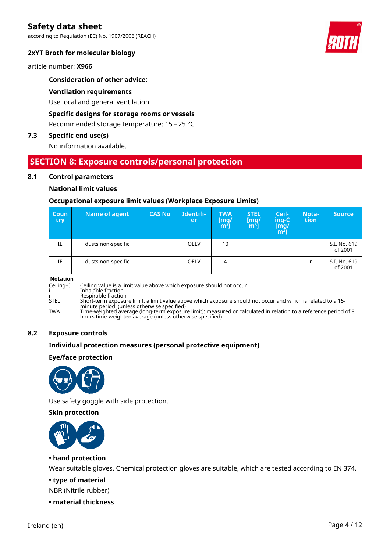according to Regulation (EC) No. 1907/2006 (REACH)

### **2xYT Broth for molecular biology**

article number: **X966**

### **Consideration of other advice:**

#### **Ventilation requirements**

Use local and general ventilation.

### **Specific designs for storage rooms or vessels**

Recommended storage temperature: 15 – 25 °C

# **7.3 Specific end use(s)**

No information available.

# **SECTION 8: Exposure controls/personal protection**

### **8.1 Control parameters**

#### **National limit values**

#### **Occupational exposure limit values (Workplace Exposure Limits)**

| <b>Coun</b><br>try | Name of agent      | <b>CAS No</b> | Identifi-<br>er | <b>TWA</b><br>[mg/<br>$m3$ ] | <b>STEL</b><br>[mg]<br>m <sup>3</sup> | Ceil-<br>ing-C<br>[mg/<br>m <sup>3</sup> ] | Nota-<br>tion | <b>Source</b>           |
|--------------------|--------------------|---------------|-----------------|------------------------------|---------------------------------------|--------------------------------------------|---------------|-------------------------|
| IE                 | dusts non-specific |               | <b>OELV</b>     | 10                           |                                       |                                            |               | S.I. No. 619<br>of 2001 |
| IE                 | dusts non-specific |               | <b>OELV</b>     | 4                            |                                       |                                            |               | S.I. No. 619<br>of 2001 |

#### **Notation**

Ceiling-C Ceiling value is a limit value above which exposure should not occur i Inhalable fraction

r Respirable fraction

STEL Short-term exposure limit: a limit value above which exposure should not occur and which is related to a 15-

minute period (unless otherwise specified) TWA Time-weighted average (long-term exposure limit): measured or calculated in relation to a reference period of 8 hours time-weighted average (unless otherwise specified)

### **8.2 Exposure controls**

#### **Individual protection measures (personal protective equipment)**

#### **Eye/face protection**



Use safety goggle with side protection.

**Skin protection**



### **• hand protection**

Wear suitable gloves. Chemical protection gloves are suitable, which are tested according to EN 374.

**• type of material**

NBR (Nitrile rubber)

**• material thickness**

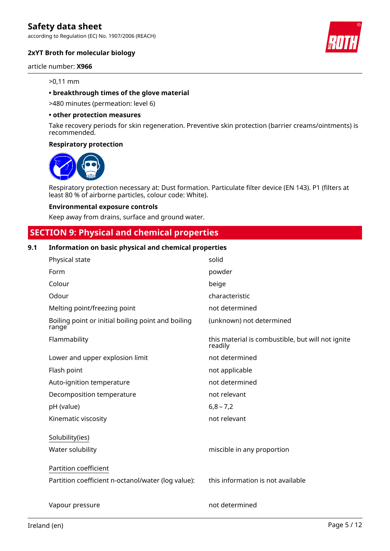according to Regulation (EC) No. 1907/2006 (REACH)

### **2xYT Broth for molecular biology**

#### article number: **X966**

#### >0,11 mm

### **• breakthrough times of the glove material**

>480 minutes (permeation: level 6)

#### **• other protection measures**

Take recovery periods for skin regeneration. Preventive skin protection (barrier creams/ointments) is recommended.

#### **Respiratory protection**



Respiratory protection necessary at: Dust formation. Particulate filter device (EN 143). P1 (filters at least 80 % of airborne particles, colour code: White).

#### **Environmental exposure controls**

Keep away from drains, surface and ground water.

# **SECTION 9: Physical and chemical properties**

### **9.1 Information on basic physical and chemical properties**

| Physical state                                              | solid                                                        |
|-------------------------------------------------------------|--------------------------------------------------------------|
| Form                                                        | powder                                                       |
| Colour                                                      | beige                                                        |
| Odour                                                       | characteristic                                               |
| Melting point/freezing point                                | not determined                                               |
| Boiling point or initial boiling point and boiling<br>range | (unknown) not determined                                     |
| Flammability                                                | this material is combustible, but will not ignite<br>readily |
| Lower and upper explosion limit                             | not determined                                               |
| Flash point                                                 | not applicable                                               |
| Auto-ignition temperature                                   | not determined                                               |
| Decomposition temperature                                   | not relevant                                                 |
| pH (value)                                                  | $6,8 - 7,2$                                                  |
| Kinematic viscosity                                         | not relevant                                                 |
| Solubility(ies)                                             |                                                              |
| Water solubility                                            | miscible in any proportion                                   |
| Partition coefficient                                       |                                                              |
| Partition coefficient n-octanol/water (log value):          | this information is not available                            |
| Vapour pressure                                             | not determined                                               |



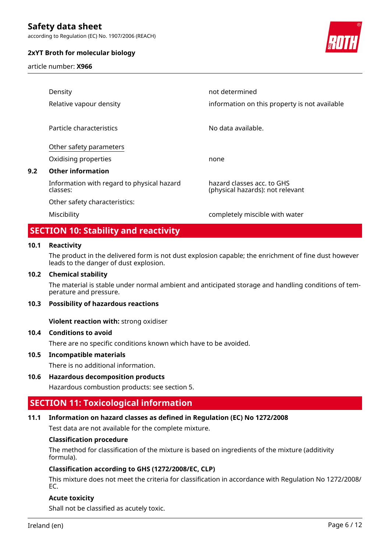according to Regulation (EC) No. 1907/2006 (REACH)

### **2xYT Broth for molecular biology**

article number: **X966**



|     | Density                                                | not determined                                                 |
|-----|--------------------------------------------------------|----------------------------------------------------------------|
|     | Relative vapour density                                | information on this property is not available                  |
|     | Particle characteristics                               | No data available.                                             |
|     | Other safety parameters                                |                                                                |
|     | Oxidising properties                                   | none                                                           |
| 9.2 | <b>Other information</b>                               |                                                                |
|     | Information with regard to physical hazard<br>classes: | hazard classes acc. to GHS<br>(physical hazards): not relevant |
|     | Other safety characteristics:                          |                                                                |
|     | Miscibility                                            | completely miscible with water                                 |
|     |                                                        |                                                                |

# **SECTION 10: Stability and reactivity**

### **10.1 Reactivity**

The product in the delivered form is not dust explosion capable; the enrichment of fine dust however leads to the danger of dust explosion.

### **10.2 Chemical stability**

The material is stable under normal ambient and anticipated storage and handling conditions of temperature and pressure.

### **10.3 Possibility of hazardous reactions**

**Violent reaction with:** strong oxidiser

### **10.4 Conditions to avoid**

There are no specific conditions known which have to be avoided.

### **10.5 Incompatible materials**

There is no additional information.

### **10.6 Hazardous decomposition products**

Hazardous combustion products: see section 5.

# **SECTION 11: Toxicological information**

### **11.1 Information on hazard classes as defined in Regulation (EC) No 1272/2008**

Test data are not available for the complete mixture.

### **Classification procedure**

The method for classification of the mixture is based on ingredients of the mixture (additivity formula).

### **Classification according to GHS (1272/2008/EC, CLP)**

This mixture does not meet the criteria for classification in accordance with Regulation No 1272/2008/ EC.

### **Acute toxicity**

Shall not be classified as acutely toxic.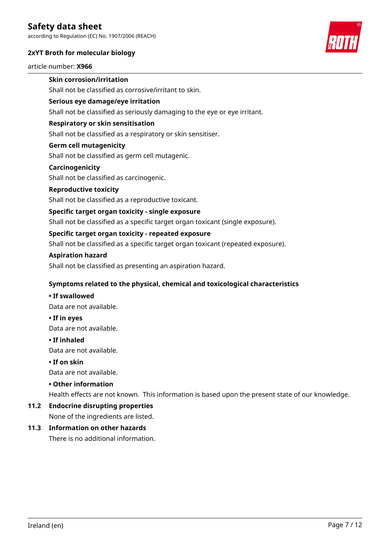according to Regulation (EC) No. 1907/2006 (REACH)

### **2xYT Broth for molecular biology**

article number: **X966**

# **Skin corrosion/irritation**

Shall not be classified as corrosive/irritant to skin.

### **Serious eye damage/eye irritation**

Shall not be classified as seriously damaging to the eye or eye irritant.

### **Respiratory or skin sensitisation**

Shall not be classified as a respiratory or skin sensitiser.

### **Germ cell mutagenicity**

Shall not be classified as germ cell mutagenic.

### **Carcinogenicity**

Shall not be classified as carcinogenic.

### **Reproductive toxicity**

Shall not be classified as a reproductive toxicant.

### **Specific target organ toxicity - single exposure**

Shall not be classified as a specific target organ toxicant (single exposure).

### **Specific target organ toxicity - repeated exposure**

Shall not be classified as a specific target organ toxicant (repeated exposure).

### **Aspiration hazard**

Shall not be classified as presenting an aspiration hazard.

### **Symptoms related to the physical, chemical and toxicological characteristics**

### **• If swallowed**

Data are not available.

**• If in eyes**

Data are not available.

### **• If inhaled**

Data are not available.

### **• If on skin**

Data are not available.

### **• Other information**

Health effects are not known. This information is based upon the present state of our knowledge.

# **11.2 Endocrine disrupting properties**

None of the ingredients are listed.

# **11.3 Information on other hazards**

There is no additional information.

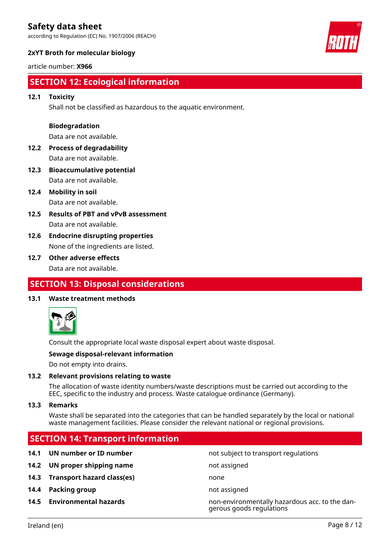according to Regulation (EC) No. 1907/2006 (REACH)

# **2xYT Broth for molecular biology**

### article number: **X966**

# **SECTION 12: Ecological information**

### **12.1 Toxicity**

Shall not be classified as hazardous to the aquatic environment.

### **Biodegradation**

Data are not available.

- **12.2 Process of degradability** Data are not available.
- **12.3 Bioaccumulative potential** Data are not available.
- **12.4 Mobility in soil** Data are not available.
- **12.5 Results of PBT and vPvB assessment** Data are not available.
- **12.6 Endocrine disrupting properties** None of the ingredients are listed.

### **12.7 Other adverse effects**

Data are not available.

# **SECTION 13: Disposal considerations**

### **13.1 Waste treatment methods**



Consult the appropriate local waste disposal expert about waste disposal.

### **Sewage disposal-relevant information**

Do not empty into drains.

### **13.2 Relevant provisions relating to waste**

The allocation of waste identity numbers/waste descriptions must be carried out according to the EEC, specific to the industry and process. Waste catalogue ordinance (Germany).

### **13.3 Remarks**

Waste shall be separated into the categories that can be handled separately by the local or national waste management facilities. Please consider the relevant national or regional provisions.

# **SECTION 14: Transport information**

- **14.1 UN number or ID number not subject to transport regulations 14.2 UN proper shipping name** not assigned **14.3 Transport hazard class(es)** none
- **14.4 Packing group not assigned**
- 

**14.5 Environmental hazards** non-environmentally hazardous acc. to the dangerous goods regulations

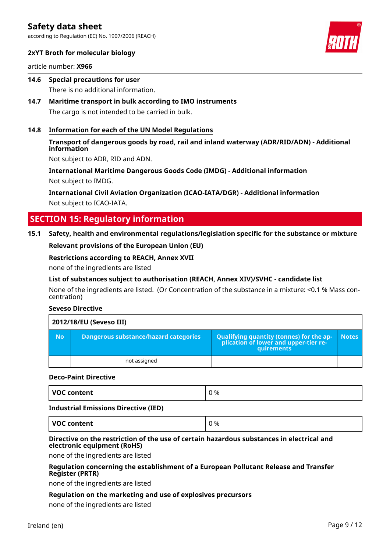according to Regulation (EC) No. 1907/2006 (REACH)



### **2xYT Broth for molecular biology**

article number: **X966**

- **14.6 Special precautions for user** There is no additional information.
- **14.7 Maritime transport in bulk according to IMO instruments** The cargo is not intended to be carried in bulk.

### **14.8 Information for each of the UN Model Regulations**

### **Transport of dangerous goods by road, rail and inland waterway (ADR/RID/ADN) - Additional information**

Not subject to ADR, RID and ADN.

**International Maritime Dangerous Goods Code (IMDG) - Additional information** Not subject to IMDG.

**International Civil Aviation Organization (ICAO-IATA/DGR) - Additional information** Not subject to ICAO-IATA.

# **SECTION 15: Regulatory information**

### **15.1 Safety, health and environmental regulations/legislation specific for the substance or mixture**

**Relevant provisions of the European Union (EU)**

#### **Restrictions according to REACH, Annex XVII**

none of the ingredients are listed

### **List of substances subject to authorisation (REACH, Annex XIV)/SVHC - candidate list**

None of the ingredients are listed. (Or Concentration of the substance in a mixture: <0.1 % Mass concentration)

### **Seveso Directive**

|           | 2012/18/EU (Seveso III)               |                                                                                                                |              |
|-----------|---------------------------------------|----------------------------------------------------------------------------------------------------------------|--------------|
| <b>No</b> | Dangerous substance/hazard categories | Qualifying quantity (tonnes) for the ap- $\overline{ }$<br>plication of lower and upper-tier re-<br>quirements | <b>Notes</b> |
|           | not assigned                          |                                                                                                                |              |

### **Deco-Paint Directive**

| $\cdot$ | <b>VOC</b><br>: content | %<br>^ |
|---------|-------------------------|--------|
|---------|-------------------------|--------|

#### **Industrial Emissions Directive (IED)**

**VOC content**  $\begin{array}{ccc} \vert & 0 \end{array}$ 

### **Directive on the restriction of the use of certain hazardous substances in electrical and electronic equipment (RoHS)**

none of the ingredients are listed

### **Regulation concerning the establishment of a European Pollutant Release and Transfer Register (PRTR)**

none of the ingredients are listed

### **Regulation on the marketing and use of explosives precursors**

none of the ingredients are listed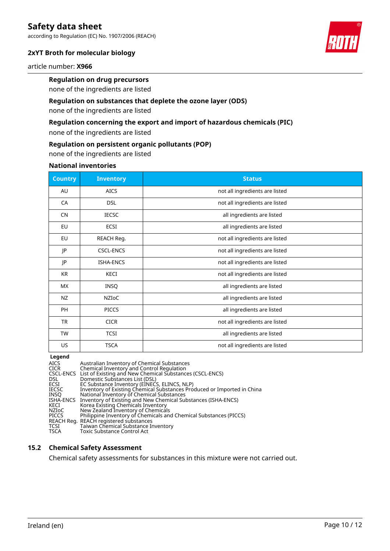according to Regulation (EC) No. 1907/2006 (REACH)

# **2xYT Broth for molecular biology**

article number: **X966**

# **Regulation on drug precursors**

none of the ingredients are listed

### **Regulation on substances that deplete the ozone layer (ODS)**

none of the ingredients are listed

### **Regulation concerning the export and import of hazardous chemicals (PIC)**

none of the ingredients are listed

### **Regulation on persistent organic pollutants (POP)**

none of the ingredients are listed

#### **National inventories**

| <b>Country</b> | <b>Inventory</b> | <b>Status</b>                  |
|----------------|------------------|--------------------------------|
| AU             | <b>AICS</b>      | not all ingredients are listed |
| CA             | <b>DSL</b>       | not all ingredients are listed |
| <b>CN</b>      | <b>IECSC</b>     | all ingredients are listed     |
| EU             | ECSI             | all ingredients are listed     |
| EU             | REACH Reg.       | not all ingredients are listed |
| JP             | <b>CSCL-ENCS</b> | not all ingredients are listed |
| JP             | <b>ISHA-ENCS</b> | not all ingredients are listed |
| KR             | KECI             | not all ingredients are listed |
| <b>MX</b>      | <b>INSQ</b>      | all ingredients are listed     |
| NZ             | NZIOC            | all ingredients are listed     |
| <b>PH</b>      | <b>PICCS</b>     | all ingredients are listed     |
| <b>TR</b>      | <b>CICR</b>      | not all ingredients are listed |
| TW             | <b>TCSI</b>      | all ingredients are listed     |
| US             | <b>TSCA</b>      | not all ingredients are listed |

### **Legend**

| AICS      | Australian Inventory of Chemical Substances                             |
|-----------|-------------------------------------------------------------------------|
| CICR      | Chemical Inventory and Control Regulation                               |
|           | CSCL-ENCS List of Existing and New Chemical Substances (CSCL-ENCS)      |
| DSL       | Domestic Substances List (DSL)                                          |
| ECSI      | EC Substance Inventory (EINECS, ELINCS, NLP)                            |
| IECSC     | Inventory of Existing Chemical Substances Produced or Imported in China |
| INSO      | National Inventory of Chemical Substances                               |
| ISHA-ENCS | Inventory of Existing and New Chemical Substances (ISHA-ENCS)           |
| KECI      | Korea Existing Chemicals Inventory                                      |
| NZIoC     | New Zealand Inventory of Chemicals                                      |
| PICCS     | Philippine Inventory of Chemicals and Chemical Substances (PICCS)       |
|           | REACH Reg.  REACH registered substances                                 |
| TCSI      | Taiwan Chemical Substance Inventory                                     |
| TSCA      | Toxic Substance Control Act                                             |
|           |                                                                         |

### **15.2 Chemical Safety Assessment**

Chemical safety assessments for substances in this mixture were not carried out.

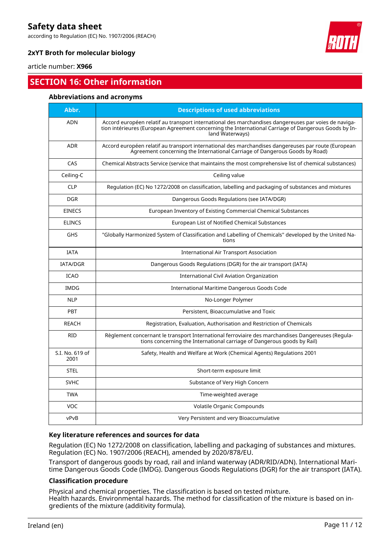according to Regulation (EC) No. 1907/2006 (REACH)



## **2xYT Broth for molecular biology**

article number: **X966**

# **SECTION 16: Other information**

### **Abbreviations and acronyms**

| Abbr.                   | <b>Descriptions of used abbreviations</b>                                                                                                                                                                                       |
|-------------------------|---------------------------------------------------------------------------------------------------------------------------------------------------------------------------------------------------------------------------------|
| <b>ADN</b>              | Accord européen relatif au transport international des marchandises dangereuses par voies de naviga-<br>tion intérieures (European Agreement concerning the International Carriage of Dangerous Goods by In-<br>land Waterways) |
| <b>ADR</b>              | Accord européen relatif au transport international des marchandises dangereuses par route (European<br>Agreement concerning the International Carriage of Dangerous Goods by Road)                                              |
| CAS                     | Chemical Abstracts Service (service that maintains the most comprehensive list of chemical substances)                                                                                                                          |
| Ceiling-C               | Ceiling value                                                                                                                                                                                                                   |
| <b>CLP</b>              | Regulation (EC) No 1272/2008 on classification, labelling and packaging of substances and mixtures                                                                                                                              |
| DGR.                    | Dangerous Goods Regulations (see IATA/DGR)                                                                                                                                                                                      |
| <b>EINECS</b>           | European Inventory of Existing Commercial Chemical Substances                                                                                                                                                                   |
| <b>ELINCS</b>           | <b>European List of Notified Chemical Substances</b>                                                                                                                                                                            |
| <b>GHS</b>              | "Globally Harmonized System of Classification and Labelling of Chemicals" developed by the United Na-<br>tions                                                                                                                  |
| <b>IATA</b>             | <b>International Air Transport Association</b>                                                                                                                                                                                  |
| <b>IATA/DGR</b>         | Dangerous Goods Regulations (DGR) for the air transport (IATA)                                                                                                                                                                  |
| <b>ICAO</b>             | <b>International Civil Aviation Organization</b>                                                                                                                                                                                |
| <b>IMDG</b>             | International Maritime Dangerous Goods Code                                                                                                                                                                                     |
| <b>NLP</b>              | No-Longer Polymer                                                                                                                                                                                                               |
| PBT                     | Persistent, Bioaccumulative and Toxic                                                                                                                                                                                           |
| <b>REACH</b>            | Registration, Evaluation, Authorisation and Restriction of Chemicals                                                                                                                                                            |
| <b>RID</b>              | Règlement concernant le transport International ferroviaire des marchandises Dangereuses (Regula-<br>tions concerning the International carriage of Dangerous goods by Rail)                                                    |
| S.I. No. 619 of<br>2001 | Safety, Health and Welfare at Work (Chemical Agents) Regulations 2001                                                                                                                                                           |
| <b>STEL</b>             | Short-term exposure limit                                                                                                                                                                                                       |
| <b>SVHC</b>             | Substance of Very High Concern                                                                                                                                                                                                  |
| <b>TWA</b>              | Time-weighted average                                                                                                                                                                                                           |
| <b>VOC</b>              | Volatile Organic Compounds                                                                                                                                                                                                      |
| vPvB                    | Very Persistent and very Bioaccumulative                                                                                                                                                                                        |

### **Key literature references and sources for data**

Regulation (EC) No 1272/2008 on classification, labelling and packaging of substances and mixtures. Regulation (EC) No. 1907/2006 (REACH), amended by 2020/878/EU.

Transport of dangerous goods by road, rail and inland waterway (ADR/RID/ADN). International Maritime Dangerous Goods Code (IMDG). Dangerous Goods Regulations (DGR) for the air transport (IATA).

### **Classification procedure**

Physical and chemical properties. The classification is based on tested mixture. Health hazards. Environmental hazards. The method for classification of the mixture is based on ingredients of the mixture (additivity formula).